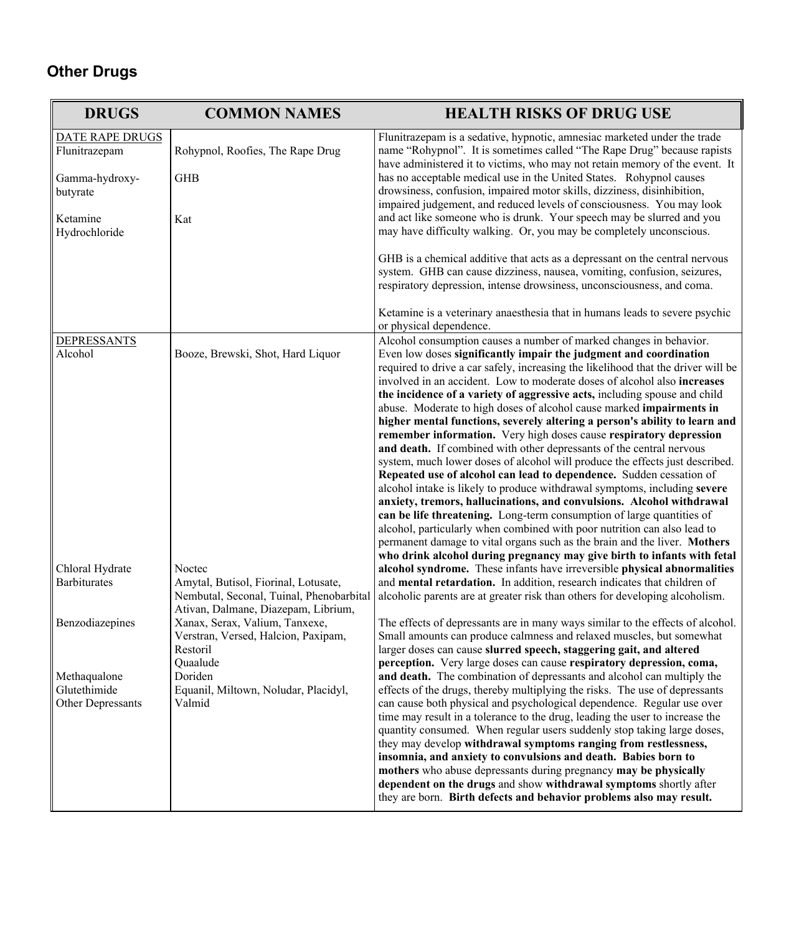## **Other Drugs**

| <b>DRUGS</b>                      | <b>COMMON NAMES</b>                                                                                                     | <b>HEALTH RISKS OF DRUG USE</b>                                                                                                                                                                                                                                                                           |
|-----------------------------------|-------------------------------------------------------------------------------------------------------------------------|-----------------------------------------------------------------------------------------------------------------------------------------------------------------------------------------------------------------------------------------------------------------------------------------------------------|
| DATE RAPE DRUGS<br>Flunitrazepam  | Rohypnol, Roofies, The Rape Drug                                                                                        | Flunitrazepam is a sedative, hypnotic, amnesiac marketed under the trade<br>name "Rohypnol". It is sometimes called "The Rape Drug" because rapists<br>have administered it to victims, who may not retain memory of the event. It<br>has no acceptable medical use in the United States. Rohypnol causes |
| Gamma-hydroxy-<br>butyrate        | <b>GHB</b>                                                                                                              | drowsiness, confusion, impaired motor skills, dizziness, disinhibition,<br>impaired judgement, and reduced levels of consciousness. You may look                                                                                                                                                          |
| Ketamine<br>Hydrochloride         | Kat                                                                                                                     | and act like someone who is drunk. Your speech may be slurred and you<br>may have difficulty walking. Or, you may be completely unconscious.                                                                                                                                                              |
|                                   |                                                                                                                         | GHB is a chemical additive that acts as a depressant on the central nervous<br>system. GHB can cause dizziness, nausea, vomiting, confusion, seizures,<br>respiratory depression, intense drowsiness, unconsciousness, and coma.                                                                          |
|                                   |                                                                                                                         | Ketamine is a veterinary anaesthesia that in humans leads to severe psychic<br>or physical dependence.                                                                                                                                                                                                    |
| <b>DEPRESSANTS</b><br>Alcohol     | Booze, Brewski, Shot, Hard Liquor                                                                                       | Alcohol consumption causes a number of marked changes in behavior.<br>Even low doses significantly impair the judgment and coordination<br>required to drive a car safely, increasing the likelihood that the driver will be                                                                              |
|                                   |                                                                                                                         | involved in an accident. Low to moderate doses of alcohol also <b>increases</b><br>the incidence of a variety of aggressive acts, including spouse and child<br>abuse. Moderate to high doses of alcohol cause marked impairments in                                                                      |
|                                   |                                                                                                                         | higher mental functions, severely altering a person's ability to learn and<br>remember information. Very high doses cause respiratory depression                                                                                                                                                          |
|                                   |                                                                                                                         | and death. If combined with other depressants of the central nervous<br>system, much lower doses of alcohol will produce the effects just described.                                                                                                                                                      |
|                                   |                                                                                                                         | Repeated use of alcohol can lead to dependence. Sudden cessation of<br>alcohol intake is likely to produce withdrawal symptoms, including severe<br>anxiety, tremors, hallucinations, and convulsions. Alcohol withdrawal                                                                                 |
|                                   |                                                                                                                         | can be life threatening. Long-term consumption of large quantities of<br>alcohol, particularly when combined with poor nutrition can also lead to                                                                                                                                                         |
|                                   |                                                                                                                         | permanent damage to vital organs such as the brain and the liver. Mothers<br>who drink alcohol during pregnancy may give birth to infants with fetal                                                                                                                                                      |
| Chloral Hydrate                   | Noctec                                                                                                                  | alcohol syndrome. These infants have irreversible physical abnormalities                                                                                                                                                                                                                                  |
| <b>Barbiturates</b>               | Amytal, Butisol, Fiorinal, Lotusate,<br>Nembutal, Seconal, Tuinal, Phenobarbital<br>Ativan, Dalmane, Diazepam, Librium, | and mental retardation. In addition, research indicates that children of<br>alcoholic parents are at greater risk than others for developing alcoholism.                                                                                                                                                  |
| Benzodiazepines                   | Xanax, Serax, Valium, Tanxexe,<br>Verstran, Versed, Halcion, Paxipam,                                                   | The effects of depressants are in many ways similar to the effects of alcohol.<br>Small amounts can produce calmness and relaxed muscles, but somewhat                                                                                                                                                    |
|                                   | Restoril<br>Quaalude                                                                                                    | larger doses can cause slurred speech, staggering gait, and altered<br>perception. Very large doses can cause respiratory depression, coma,                                                                                                                                                               |
| Methaqualone                      | Doriden                                                                                                                 | and death. The combination of depressants and alcohol can multiply the                                                                                                                                                                                                                                    |
| Glutethimide<br>Other Depressants | Equanil, Miltown, Noludar, Placidyl,<br>Valmid                                                                          | effects of the drugs, thereby multiplying the risks. The use of depressants<br>can cause both physical and psychological dependence. Regular use over                                                                                                                                                     |
|                                   |                                                                                                                         | time may result in a tolerance to the drug, leading the user to increase the                                                                                                                                                                                                                              |
|                                   |                                                                                                                         | quantity consumed. When regular users suddenly stop taking large doses,<br>they may develop withdrawal symptoms ranging from restlessness,                                                                                                                                                                |
|                                   |                                                                                                                         | insomnia, and anxiety to convulsions and death. Babies born to<br>mothers who abuse depressants during pregnancy may be physically<br>dependent on the drugs and show withdrawal symptoms shortly after                                                                                                   |
|                                   |                                                                                                                         | they are born. Birth defects and behavior problems also may result.                                                                                                                                                                                                                                       |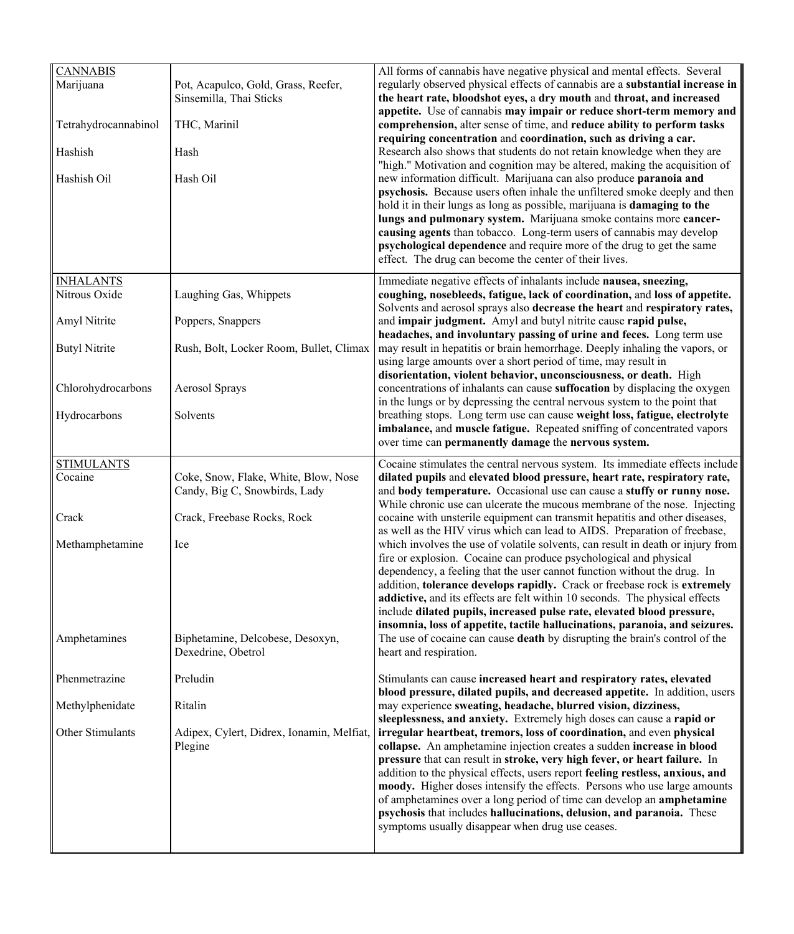| <b>CANNABIS</b><br>Marijuana | Pot, Acapulco, Gold, Grass, Reefer,<br>Sinsemilla, Thai Sticks        | All forms of cannabis have negative physical and mental effects. Several<br>regularly observed physical effects of cannabis are a substantial increase in<br>the heart rate, bloodshot eyes, a dry mouth and throat, and increased<br>appetite. Use of cannabis may impair or reduce short-term memory and<br>comprehension, alter sense of time, and reduce ability to perform tasks<br>requiring concentration and coordination, such as driving a car.                                                                                                                                                                                                               |
|------------------------------|-----------------------------------------------------------------------|-------------------------------------------------------------------------------------------------------------------------------------------------------------------------------------------------------------------------------------------------------------------------------------------------------------------------------------------------------------------------------------------------------------------------------------------------------------------------------------------------------------------------------------------------------------------------------------------------------------------------------------------------------------------------|
| Tetrahydrocannabinol         | THC, Marinil                                                          |                                                                                                                                                                                                                                                                                                                                                                                                                                                                                                                                                                                                                                                                         |
| Hashish                      | Hash                                                                  | Research also shows that students do not retain knowledge when they are                                                                                                                                                                                                                                                                                                                                                                                                                                                                                                                                                                                                 |
| Hashish Oil                  | Hash Oil                                                              | "high." Motivation and cognition may be altered, making the acquisition of<br>new information difficult. Marijuana can also produce paranoia and<br>psychosis. Because users often inhale the unfiltered smoke deeply and then                                                                                                                                                                                                                                                                                                                                                                                                                                          |
|                              |                                                                       | hold it in their lungs as long as possible, marijuana is <b>damaging to the</b><br>lungs and pulmonary system. Marijuana smoke contains more cancer-                                                                                                                                                                                                                                                                                                                                                                                                                                                                                                                    |
|                              |                                                                       | causing agents than tobacco. Long-term users of cannabis may develop<br>psychological dependence and require more of the drug to get the same<br>effect. The drug can become the center of their lives.                                                                                                                                                                                                                                                                                                                                                                                                                                                                 |
| <b>INHALANTS</b>             |                                                                       | Immediate negative effects of inhalants include nausea, sneezing,                                                                                                                                                                                                                                                                                                                                                                                                                                                                                                                                                                                                       |
| Nitrous Oxide                | Laughing Gas, Whippets                                                | coughing, nosebleeds, fatigue, lack of coordination, and loss of appetite.<br>Solvents and aerosol sprays also decrease the heart and respiratory rates,                                                                                                                                                                                                                                                                                                                                                                                                                                                                                                                |
| Amyl Nitrite                 | Poppers, Snappers                                                     | and impair judgment. Amyl and butyl nitrite cause rapid pulse,<br>headaches, and involuntary passing of urine and feces. Long term use                                                                                                                                                                                                                                                                                                                                                                                                                                                                                                                                  |
| <b>Butyl Nitrite</b>         | Rush, Bolt, Locker Room, Bullet, Climax                               | may result in hepatitis or brain hemorrhage. Deeply inhaling the vapors, or<br>using large amounts over a short period of time, may result in                                                                                                                                                                                                                                                                                                                                                                                                                                                                                                                           |
| Chlorohydrocarbons           | Aerosol Sprays                                                        | disorientation, violent behavior, unconsciousness, or death. High<br>concentrations of inhalants can cause suffocation by displacing the oxygen<br>in the lungs or by depressing the central nervous system to the point that<br>breathing stops. Long term use can cause weight loss, fatigue, electrolyte<br>imbalance, and muscle fatigue. Repeated sniffing of concentrated vapors<br>over time can permanently damage the nervous system.                                                                                                                                                                                                                          |
| Hydrocarbons                 | Solvents                                                              |                                                                                                                                                                                                                                                                                                                                                                                                                                                                                                                                                                                                                                                                         |
| <b>STIMULANTS</b>            |                                                                       | Cocaine stimulates the central nervous system. Its immediate effects include                                                                                                                                                                                                                                                                                                                                                                                                                                                                                                                                                                                            |
|                              |                                                                       |                                                                                                                                                                                                                                                                                                                                                                                                                                                                                                                                                                                                                                                                         |
| Cocaine                      | Coke, Snow, Flake, White, Blow, Nose<br>Candy, Big C, Snowbirds, Lady | dilated pupils and elevated blood pressure, heart rate, respiratory rate,<br>and body temperature. Occasional use can cause a stuffy or runny nose.                                                                                                                                                                                                                                                                                                                                                                                                                                                                                                                     |
| Crack                        | Crack, Freebase Rocks, Rock                                           | While chronic use can ulcerate the mucous membrane of the nose. Injecting<br>cocaine with unsterile equipment can transmit hepatitis and other diseases,                                                                                                                                                                                                                                                                                                                                                                                                                                                                                                                |
| Methamphetamine              | Ice                                                                   | as well as the HIV virus which can lead to AIDS. Preparation of freebase,<br>which involves the use of volatile solvents, can result in death or injury from<br>fire or explosion. Cocaine can produce psychological and physical                                                                                                                                                                                                                                                                                                                                                                                                                                       |
|                              |                                                                       | dependency, a feeling that the user cannot function without the drug. In<br>addition, tolerance develops rapidly. Crack or freebase rock is extremely                                                                                                                                                                                                                                                                                                                                                                                                                                                                                                                   |
|                              |                                                                       | addictive, and its effects are felt within 10 seconds. The physical effects<br>include dilated pupils, increased pulse rate, elevated blood pressure,                                                                                                                                                                                                                                                                                                                                                                                                                                                                                                                   |
| Amphetamines                 | Biphetamine, Delcobese, Desoxyn.<br>Dexedrine, Obetrol                | insomnia, loss of appetite, tactile hallucinations, paranoia, and seizures.<br>The use of cocaine can cause <b>death</b> by disrupting the brain's control of the<br>heart and respiration.                                                                                                                                                                                                                                                                                                                                                                                                                                                                             |
| Phenmetrazine                | Preludin                                                              | Stimulants can cause increased heart and respiratory rates, elevated                                                                                                                                                                                                                                                                                                                                                                                                                                                                                                                                                                                                    |
| Methylphenidate              | Ritalin                                                               | blood pressure, dilated pupils, and decreased appetite. In addition, users<br>may experience sweating, headache, blurred vision, dizziness,                                                                                                                                                                                                                                                                                                                                                                                                                                                                                                                             |
| Other Stimulants             | Adipex, Cylert, Didrex, Ionamin, Melfiat,<br>Plegine                  | sleeplessness, and anxiety. Extremely high doses can cause a rapid or<br>irregular heartbeat, tremors, loss of coordination, and even physical<br>collapse. An amphetamine injection creates a sudden increase in blood<br>pressure that can result in stroke, very high fever, or heart failure. In<br>addition to the physical effects, users report feeling restless, anxious, and<br>moody. Higher doses intensify the effects. Persons who use large amounts<br>of amphetamines over a long period of time can develop an amphetamine<br>psychosis that includes hallucinations, delusion, and paranoia. These<br>symptoms usually disappear when drug use ceases. |